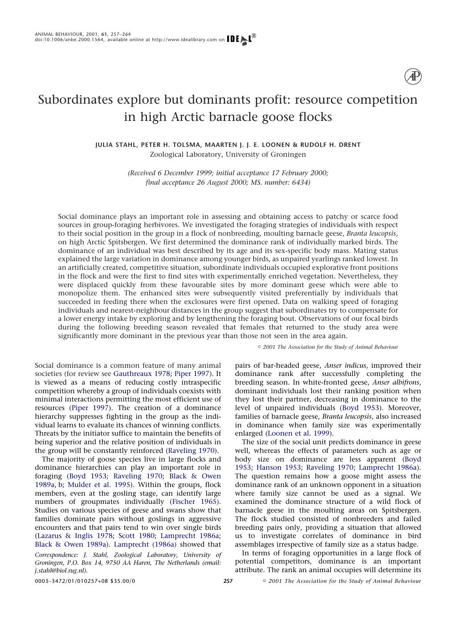# Subordinates explore but dominants profit: resource competition in high Arctic barnacle goose flocks

**JULIA STAHL, PETER H. TOLSMA, MAARTEN J. J. E. LOONEN & RUDOLF H. DRENT** Zoological Laboratory, University of Groningen

> *(Received 6 December 1999; initial acceptance 17 February 2000; final acceptance 26 August 2000; MS. number: 6434)*

Social dominance plays an important role in assessing and obtaining access to patchy or scarce food sources in group-foraging herbivores. We investigated the foraging strategies of individuals with respect to their social position in the group in a flock of nonbreeding, moulting barnacle geese, *Branta leucopsis*, on high Arctic Spitsbergen. We first determined the dominance rank of individually marked birds. The dominance of an individual was best described by its age and its sex-specific body mass. Mating status explained the large variation in dominance among younger birds, as unpaired yearlings ranked lowest. In an artificially created, competitive situation, subordinate individuals occupied explorative front positions in the flock and were the first to find sites with experimentally enriched vegetation. Nevertheless, they were displaced quickly from these favourable sites by more dominant geese which were able to monopolize them. The enhanced sites were subsequently visited preferentially by individuals that succeeded in feeding there when the exclosures were first opened. Data on walking speed of foraging individuals and nearest-neighbour distances in the group suggest that subordinates try to compensate for a lower energy intake by exploring and by lengthening the foraging bout. Observations of our focal birds during the following breeding season revealed that females that returned to the study area were significantly more dominant in the previous year than those not seen in the area again.

Social dominance is a common feature of many animal societies (for review see [Gauthreaux 1978;](#page-7-0) [Piper 1997\)](#page-7-1). It is viewed as a means of reducing costly intraspecific competition whereby a group of individuals coexists with minimal interactions permitting the most efficient use of resources [\(Piper 1997\)](#page-7-1). The creation of a dominance hierarchy suppresses fighting in the group as the individual learns to evaluate its chances of winning conflicts. Threats by the initiator suffice to maintain the benefits of being superior and the relative position of individuals in the group will be constantly reinforced [\(Raveling 1970\)](#page-7-2).

The majority of goose species live in large flocks and dominance hierarchies can play an important role in foraging [\(Boyd 1953;](#page-6-0) [Raveling 1970;](#page-7-2) [Black & Owen](#page-6-1) [1989a,](#page-6-1) [b;](#page-6-2) [Mulder et al. 1995\)](#page-7-3). Within the groups, flock members, even at the gosling stage, can identify large numbers of groupmates individually [\(Fischer 1965\)](#page-7-4). Studies on various species of geese and swans show that families dominate pairs without goslings in aggressive encounters and that pairs tend to win over single birds [\(Lazarus & Inglis 1978;](#page-7-5) [Scott 1980;](#page-7-6) [Lamprecht 1986a;](#page-7-7) [Black & Owen 1989a\)](#page-6-1). [Lamprecht \(1986a\)](#page-7-7) showed that *Correspondence: J. Stahl, Zoological Laboratory, University of Groningen, P.O. Box 14, 9750 AA Haren, The Netherlands (email: j.stahl@biol.rug.nl).*

*2001 The Association for the Study of Animal Behaviour*

pairs of bar-headed geese, *Anser indicus*, improved their dominance rank after successfully completing the breeding season. In white-fronted geese, *Anser albifrons*, dominant individuals lost their ranking position when they lost their partner, decreasing in dominance to the level of unpaired individuals [\(Boyd 1953\)](#page-6-0). Moreover, families of barnacle geese, *Branta leucopsis*, also increased in dominance when family size was experimentally enlarged [\(Loonen et al. 1999\)](#page-7-8).

The size of the social unit predicts dominance in geese well, whereas the effects of parameters such as age or body size on dominance are less apparent [\(Boyd](#page-6-0) [1953;](#page-6-0) [Hanson 1953;](#page-7-9) [Raveling 1970;](#page-7-2) [Lamprecht 1986a\)](#page-7-7). The question remains how a goose might assess the dominance rank of an unknown opponent in a situation where family size cannot be used as a signal. We examined the dominance structure of a wild flock of barnacle geese in the moulting areas on Spitsbergen. The flock studied consisted of nonbreeders and failed breeding pairs only, providing a situation that allowed us to investigate correlates of dominance in bird assemblages irrespective of family size as a status badge.

In terms of foraging opportunities in a large flock of potential competitors, dominance is an important attribute. The rank an animal occupies will determine its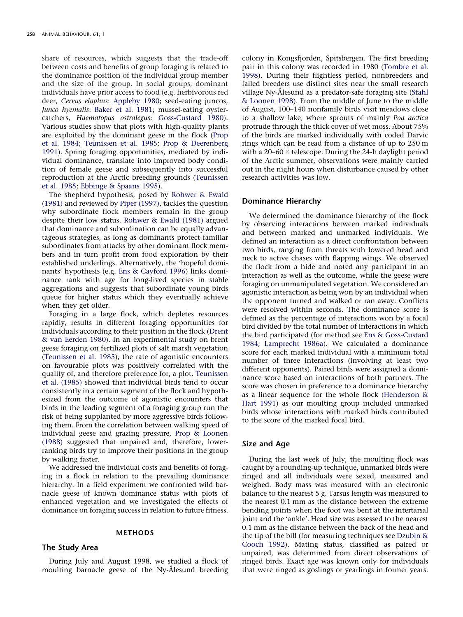share of resources, which suggests that the trade-off between costs and benefits of group foraging is related to the dominance position of the individual group member and the size of the group. In social groups, dominant individuals have prior access to food (e.g. herbivorous red deer, *Cervus elaphus*: [Appleby 1980;](#page-6-4) seed-eating juncos, *Junco hyemalis*: [Baker et al. 1981;](#page-6-3) mussel-eating oystercatchers, *Haematopus ostralegus*: [Goss-Custard 1980\)](#page-7-10). Various studies show that plots with high-quality plants are exploited by the dominant geese in the flock [\(Prop](#page-7-11) [et al. 1984;](#page-7-11) [Teunissen et al. 1985;](#page-7-12) [Prop & Deerenberg](#page-7-13) [1991\)](#page-7-13). Spring foraging opportunities, mediated by individual dominance, translate into improved body condition of female geese and subsequently into successful reproduction at the Arctic breeding grounds [\(Teunissen](#page-7-12) [et al. 1985;](#page-7-12) [Ebbinge & Spaans 1995\)](#page-7-14).

The shepherd hypothesis, posed by [Rohwer & Ewald](#page-7-15) [\(1981\)](#page-7-15) and reviewed by [Piper \(1997\),](#page-7-1) tackles the question why subordinate flock members remain in the group despite their low status. [Rohwer & Ewald \(1981\)](#page-7-15) argued that dominance and subordination can be equally advantageous strategies, as long as dominants protect familiar subordinates from attacks by other dominant flock members and in turn profit from food exploration by their established underlings. Alternatively, the 'hopeful dominants' hypothesis (e.g. [Ens & Cayford 1996\)](#page-7-16) links dominance rank with age for long-lived species in stable aggregations and suggests that subordinate young birds queue for higher status which they eventually achieve when they get older.

Foraging in a large flock, which depletes resources rapidly, results in different foraging opportunities for individuals according to their position in the flock [\(Drent](#page-7-17) [& van Eerden 1980\)](#page-7-17). In an experimental study on brent geese foraging on fertilized plots of salt marsh vegetation [\(Teunissen et al. 1985\)](#page-7-12), the rate of agonistic encounters on favourable plots was positively correlated with the quality of, and therefore preference for, a plot. [Teunissen](#page-7-12) [et al. \(1985\)](#page-7-12) showed that individual birds tend to occur consistently in a certain segment of the flock and hypothesized from the outcome of agonistic encounters that birds in the leading segment of a foraging group run the risk of being supplanted by more aggressive birds following them. From the correlation between walking speed of individual geese and grazing pressure, [Prop & Loonen](#page-7-18) [\(1988\)](#page-7-18) suggested that unpaired and, therefore, lowerranking birds try to improve their positions in the group by walking faster.

We addressed the individual costs and benefits of foraging in a flock in relation to the prevailing dominance hierarchy. In a field experiment we confronted wild barnacle geese of known dominance status with plots of enhanced vegetation and we investigated the effects of dominance on foraging success in relation to future fitness.

### **METHODS**

# **The Study Area**

During July and August 1998, we studied a flock of moulting barnacle geese of the Ny-Ålesund breeding colony in Kongsfjorden, Spitsbergen. The first breeding pair in this colony was recorded in 1980 [\(Tombre et al.](#page-7-19) [1998\)](#page-7-19). During their flightless period, nonbreeders and failed breeders use distinct sites near the small research village Ny-Ålesund as a predator-safe foraging site [\(Stahl](#page-7-20) [& Loonen 1998\)](#page-7-20). From the middle of June to the middle of August, 100–140 nonfamily birds visit meadows close to a shallow lake, where sprouts of mainly *Poa arctica* protrude through the thick cover of wet moss. About 75% of the birds are marked individually with coded Darvic rings which can be read from a distance of up to 250 m with a 20–60  $\times$  telescope. During the 24-h daylight period of the Arctic summer, observations were mainly carried out in the night hours when disturbance caused by other research activities was low.

#### **Dominance Hierarchy**

We determined the dominance hierarchy of the flock by observing interactions between marked individuals and between marked and unmarked individuals. We defined an interaction as a direct confrontation between two birds, ranging from threats with lowered head and neck to active chases with flapping wings. We observed the flock from a hide and noted any participant in an interaction as well as the outcome, while the geese were foraging on unmanipulated vegetation. We considered an agonistic interaction as being won by an individual when the opponent turned and walked or ran away. Conflicts were resolved within seconds. The dominance score is defined as the percentage of interactions won by a focal bird divided by the total number of interactions in which the bird participated (for method see [Ens & Goss-Custard](#page-7-21) [1984;](#page-7-21) [Lamprecht 1986a\)](#page-7-7). We calculated a dominance score for each marked individual with a minimum total number of three interactions (involving at least two different opponents). Paired birds were assigned a dominance score based on interactions of both partners. The score was chosen in preference to a dominance hierarchy as a linear sequence for the whole flock [\(Henderson &](#page-7-22) [Hart 1991\)](#page-7-22) as our moulting group included unmarked birds whose interactions with marked birds contributed to the score of the marked focal bird.

### **Size and Age**

During the last week of July, the moulting flock was caught by a rounding-up technique, unmarked birds were ringed and all individuals were sexed, measured and weighed. Body mass was measured with an electronic balance to the nearest 5 g. Tarsus length was measured to the nearest 0.1 mm as the distance between the extreme bending points when the foot was bent at the intertarsal joint and the 'ankle'. Head size was assessed to the nearest 0.1 mm as the distance between the back of the head and the tip of the bill (for measuring techniques see [Dzubin &](#page-7-23) [Cooch 1992\)](#page-7-23). Mating status, classified as paired or unpaired, was determined from direct observations of ringed birds. Exact age was known only for individuals that were ringed as goslings or yearlings in former years.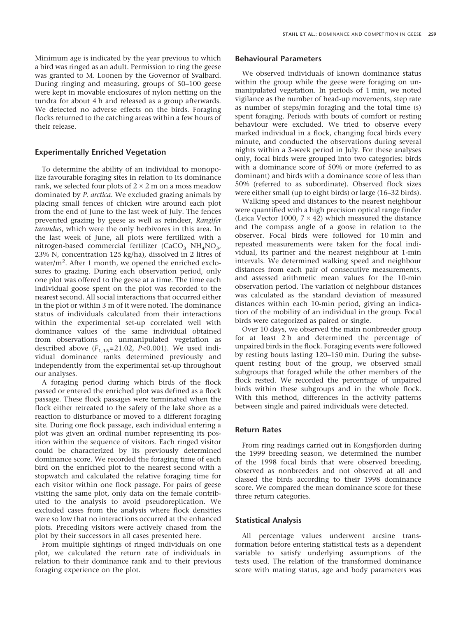Minimum age is indicated by the year previous to which a bird was ringed as an adult. Permission to ring the geese was granted to M. Loonen by the Governor of Svalbard. During ringing and measuring, groups of 50–100 geese were kept in movable enclosures of nylon netting on the tundra for about 4 h and released as a group afterwards. We detected no adverse effects on the birds. Foraging flocks returned to the catching areas within a few hours of their release.

# **Experimentally Enriched Vegetation**

To determine the ability of an individual to monopolize favourable foraging sites in relation to its dominance rank, we selected four plots of  $2 \times 2$  m on a moss meadow dominated by *P. arctica*. We excluded grazing animals by placing small fences of chicken wire around each plot from the end of June to the last week of July. The fences prevented grazing by geese as well as reindeer, *Rangifer tarandus*, which were the only herbivores in this area. In the last week of June, all plots were fertilized with a nitrogen-based commercial fertilizer (CaCO<sub>3</sub> NH<sub>4</sub>NO<sub>3</sub>, 23% N, concentration 125 kg/ha), dissolved in 2 litres of water/m<sup>2</sup>. After 1 month, we opened the enriched exclosures to grazing. During each observation period, only one plot was offered to the geese at a time. The time each individual goose spent on the plot was recorded to the nearest second. All social interactions that occurred either in the plot or within 3 m of it were noted. The dominance status of individuals calculated from their interactions within the experimental set-up correlated well with dominance values of the same individual obtained from observations on unmanipulated vegetation as described above  $(F_{1,15}=21.02, P<0.001)$ . We used individual dominance ranks determined previously and independently from the experimental set-up throughout our analyses.

A foraging period during which birds of the flock passed or entered the enriched plot was defined as a flock passage. These flock passages were terminated when the flock either retreated to the safety of the lake shore as a reaction to disturbance or moved to a different foraging site. During one flock passage, each individual entering a plot was given an ordinal number representing its position within the sequence of visitors. Each ringed visitor could be characterized by its previously determined dominance score. We recorded the foraging time of each bird on the enriched plot to the nearest second with a stopwatch and calculated the relative foraging time for each visitor within one flock passage. For pairs of geese visiting the same plot, only data on the female contributed to the analysis to avoid pseudoreplication. We excluded cases from the analysis where flock densities were so low that no interactions occurred at the enhanced plots. Preceding visitors were actively chased from the plot by their successors in all cases presented here.

From multiple sightings of ringed individuals on one plot, we calculated the return rate of individuals in relation to their dominance rank and to their previous foraging experience on the plot.

# **Behavioural Parameters**

We observed individuals of known dominance status within the group while the geese were foraging on unmanipulated vegetation. In periods of 1 min, we noted vigilance as the number of head-up movements, step rate as number of steps/min foraging and the total time (s) spent foraging. Periods with bouts of comfort or resting behaviour were excluded. We tried to observe every marked individual in a flock, changing focal birds every minute, and conducted the observations during several nights within a 3-week period in July. For these analyses only, focal birds were grouped into two categories: birds with a dominance score of 50% or more (referred to as dominant) and birds with a dominance score of less than 50% (referred to as subordinate). Observed flock sizes were either small (up to eight birds) or large (16–32 birds).

Walking speed and distances to the nearest neighbour were quantified with a high precision optical range finder (Leica Vector 1000,  $7 \times 42$ ) which measured the distance and the compass angle of a goose in relation to the observer. Focal birds were followed for 10 min and repeated measurements were taken for the focal individual, its partner and the nearest neighbour at 1-min intervals. We determined walking speed and neighbour distances from each pair of consecutive measurements, and assessed arithmetic mean values for the 10-min observation period. The variation of neighbour distances was calculated as the standard deviation of measured distances within each 10-min period, giving an indication of the mobility of an individual in the group. Focal birds were categorized as paired or single.

Over 10 days, we observed the main nonbreeder group for at least 2 h and determined the percentage of unpaired birds in the flock. Foraging events were followed by resting bouts lasting 120–150 min. During the subsequent resting bout of the group, we observed small subgroups that foraged while the other members of the flock rested. We recorded the percentage of unpaired birds within these subgroups and in the whole flock. With this method, differences in the activity patterns between single and paired individuals were detected.

#### **Return Rates**

From ring readings carried out in Kongsfjorden during the 1999 breeding season, we determined the number of the 1998 focal birds that were observed breeding, observed as nonbreeders and not observed at all and classed the birds according to their 1998 dominance score. We compared the mean dominance score for these three return categories.

#### **Statistical Analysis**

All percentage values underwent arcsine transformation before entering statistical tests as a dependent variable to satisfy underlying assumptions of the tests used. The relation of the transformed dominance score with mating status, age and body parameters was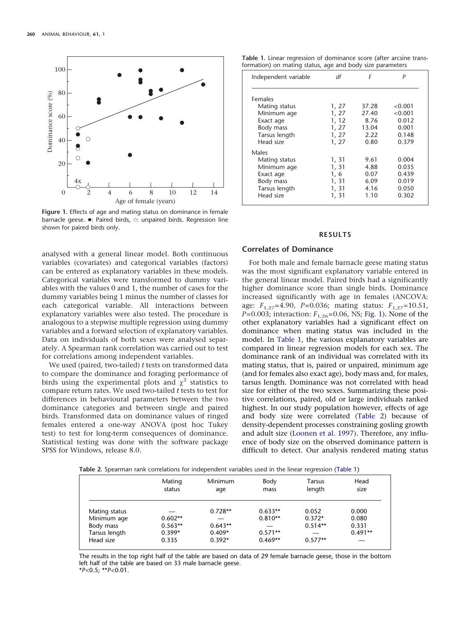<span id="page-3-0"></span>

**Figure 1.** Effects of age and mating status on dominance in female barnacle geese. • Paired birds, o: unpaired birds. Regression line shown for paired birds only.

analysed with a general linear model. Both continuous variables (covariates) and categorical variables (factors) can be entered as explanatory variables in these models. Categorical variables were transformed to dummy variables with the values 0 and 1, the number of cases for the dummy variables being 1 minus the number of classes for each categorical variable. All interactions between explanatory variables were also tested. The procedure is analogous to a stepwise multiple regression using dummy variables and a forward selection of explanatory variables. Data on individuals of both sexes were analysed separately. A Spearman rank correlation was carried out to test for correlations among independent variables.

We used (paired, two-tailed) *t* tests on transformed data to compare the dominance and foraging performance of birds using the experimental plots and  $\chi^2$  statistics to compare return rates. We used two-tailed *t* tests to test for differences in behavioural parameters between the two dominance categories and between single and paired birds. Transformed data on dominance values of ringed females entered a one-way ANOVA (post hoc Tukey test) to test for long-term consequences of dominance. Statistical testing was done with the software package SPSS for Windows, release 8.0.

<span id="page-3-1"></span>**Table 1.** Linear regression of dominance score (after arcsine transformation) on mating status, age and body size parameters

| Independent variable                                                                 | df                                                | F                                            | P                                                  |
|--------------------------------------------------------------------------------------|---------------------------------------------------|----------------------------------------------|----------------------------------------------------|
| Females<br>Mating status<br>Minimum age<br>Exact age<br>Body mass<br>Tarsus length   | 1, 27<br>1, 27<br>1, 12<br>1, 27<br>1, 27         | 37.28<br>27.40<br>8.76<br>13.04<br>2.22      | < 0.001<br><0.001<br>0.012<br>0.001<br>0.148       |
| Head size<br>Males                                                                   | 1, 27                                             | 0.80                                         | 0.379                                              |
| Mating status<br>Minimum age<br>Exact age<br>Body mass<br>Tarsus length<br>Head size | 1, 31<br>1, 31<br>1, 6<br>1, 31<br>1, 31<br>1, 31 | 9.61<br>4.88<br>0.07<br>6.09<br>4.16<br>1.10 | 0.004<br>0.035<br>0.439<br>0.019<br>0.050<br>0.302 |

#### **RESULTS**

# **Correlates of Dominance**

For both male and female barnacle geese mating status was the most significant explanatory variable entered in the general linear model. Paired birds had a significantly higher dominance score than single birds. Dominance increased significantly with age in females (ANCOVA: age: *F*1,27=4.90, *P*=0.036; mating status: *F*1,27=10.51, *P*=0.003; interaction: *F*<sub>1,26</sub>=0.06, NS; [Fig. 1\)](#page-3-0). None of the other explanatory variables had a significant effect on dominance when mating status was included in the model. In [Table 1,](#page-3-1) the various explanatory variables are compared in linear regression models for each sex. The dominance rank of an individual was correlated with its mating status, that is, paired or unpaired, minimum age (and for females also exact age), body mass and, for males, tarsus length. Dominance was not correlated with head size for either of the two sexes. Summarizing these positive correlations, paired, old or large individuals ranked highest. In our study population however, effects of age and body size were correlated [\(Table 2\)](#page-3-2) because of density-dependent processes constraining gosling growth and adult size [\(Loonen et al. 1997\)](#page-7-24). Therefore, any influence of body size on the observed dominance pattern is difficult to detect. Our analysis rendered mating status

<span id="page-3-2"></span>**Table 2.** Spearman rank correlations for independent variables used in the linear regression [\(Table 1](#page-3-1))

|               |                  |                |              | $\epsilon$       |              |  |
|---------------|------------------|----------------|--------------|------------------|--------------|--|
|               | Mating<br>status | Minimum<br>age | Body<br>mass | Tarsus<br>length | Head<br>size |  |
| Mating status |                  | $0.728**$      | $0.633**$    | 0.052            | 0.000        |  |
| Minimum age   | $0.602**$        |                | $0.810**$    | $0.372*$         | 0.080        |  |
| Body mass     | $0.563**$        | $0.643**$      |              | $0.514**$        | 0.331        |  |
| Tarsus length | $0.399*$         | $0.409*$       | $0.571**$    |                  | $0.491**$    |  |
| Head size     | 0.335            | $0.392*$       | $0.469**$    | $0.577**$        |              |  |

The results in the top right half of the table are based on data of 29 female barnacle geese, those in the bottom left half of the table are based on 33 male barnacle geese. \**P<*0.5; \*\**P<*0.01.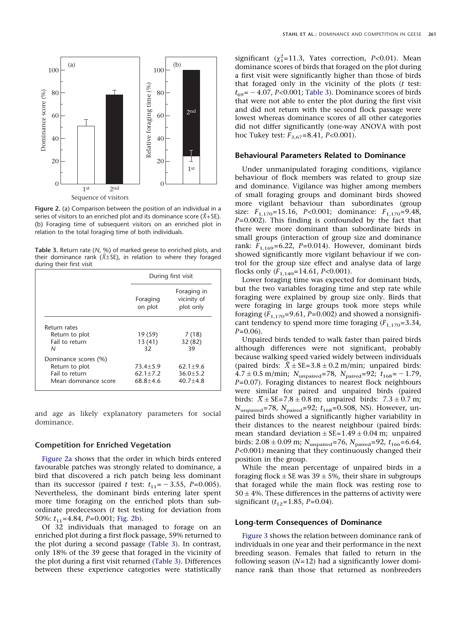<span id="page-4-0"></span>

**Figure 2.** (a) Comparison between the position of an individual in a series of visitors to an enriched plot and its dominance score  $(\bar{X} + \mathsf{SE})$ . (b) Foraging time of subsequent visitors on an enriched plot in relation to the total foraging time of both individuals.

<span id="page-4-1"></span>**Table 3.** Return rate (*N*, %) of marked geese to enriched plots, and their dominance rank  $(\bar{X} \pm SE)$ , in relation to where they foraged during their first visit

|                     | During first visit                      |  |
|---------------------|-----------------------------------------|--|
| Foraging<br>on plot | Foraging in<br>vicinity of<br>plot only |  |
|                     |                                         |  |
| 19(59)              | 7(18)                                   |  |
| 13(41)              | 32(82)                                  |  |
| 32                  | 39                                      |  |
|                     |                                         |  |
| $73.4 + 5.9$        | $62.1 + 9.6$                            |  |
| $62.1 + 7.2$        | $36.0 + 5.2$                            |  |
| $68.8 + 4.6$        | $40.7 + 4.8$                            |  |
|                     |                                         |  |

and age as likely explanatory parameters for social dominance.

# **Competition for Enriched Vegetation**

[Figure 2a](#page-4-0) shows that the order in which birds entered favourable patches was strongly related to dominance, a bird that discovered a rich patch being less dominant than its successor (paired *t* test:  $t_{11} = -3.55, P = 0.005$ ). Nevertheless, the dominant birds entering later spent more time foraging on the enriched plots than subordinate predecessors (*t* test testing for deviation from 50%:  $t_{11} = 4.84$ , *P*=0.001; [Fig. 2b\)](#page-4-0).

Of 32 individuals that managed to forage on an enriched plot during a first flock passage, 59% returned to the plot during a second passage [\(Table 3\)](#page-4-1). In contrast, only 18% of the 39 geese that foraged in the vicinity of the plot during a first visit returned [\(Table 3\)](#page-4-1). Differences between these experience categories were statistically

significant  $(\chi_1^2=11.3, \text{ Yates correction}, P<0.01)$ . Mean dominance scores of birds that foraged on the plot during a first visit were significantly higher than those of birds that foraged only in the vicinity of the plots (*t* test: *t*69=-4.07, *P<*0.001; [Table 3\)](#page-4-1). Dominance scores of birds that were not able to enter the plot during the first visit and did not return with the second flock passage were lowest whereas dominance scores of all other categories did not differ significantly (one-way ANOVA with post hoc Tukey test: *F*3,67=8.41, *P<*0.001).

# **Behavioural Parameters Related to Dominance**

Under unmanipulated foraging conditions, vigilance behaviour of flock members was related to group size and dominance. Vigilance was higher among members of small foraging groups and dominant birds showed more vigilant behaviour than subordinates (group size:  $F_{1,170}$ =15.16, *P*<0.001; dominance:  $F_{1,170}$ =9.48, *P*=0.002). This finding is confounded by the fact that there were more dominant than subordinate birds in small groups (interaction of group size and dominance rank:  $F_{1,169} = 6.22$ ,  $P = 0.014$ ). However, dominant birds showed significantly more vigilant behaviour if we control for the group size effect and analyse data of large flocks only (*F*1,140=14.61, *P<*0.001).

Lower foraging time was expected for dominant birds, but the two variables foraging time and step rate while foraging were explained by group size only. Birds that were foraging in large groups took more steps while foraging  $(F_{1,170} = 9.61, P = 0.002)$  and showed a nonsignificant tendency to spend more time foraging  $(F_{1,170}=3.34)$ , *P*=0.06).

Unpaired birds tended to walk faster than paired birds although differences were not significant, probably because walking speed varied widely between individuals (paired birds:  $\bar{X} \pm SE = 3.8 \pm 0.2$  m/min; unpaired birds:  $4.7 \pm 0.5$  m/min;  $N_{\text{unpaired}} = 78$ ,  $N_{\text{paired}} = 92$ ;  $t_{168} = -1.79$ , *P*=0.07). Foraging distances to nearest flock neighbours were similar for paired and unpaired birds (paired birds:  $\bar{X} \pm SE = 7.8 \pm 0.8 \text{ m}$ ; unpaired birds:  $7.3 \pm 0.7 \text{ m}$ ; *N*<sub>unpaired</sub>=78, *N*<sub>paired</sub>=92; *t*<sub>168</sub>=0.508, NS). However, unpaired birds showed a significantly higher variability in their distances to the nearest neighbour (paired birds: mean standard deviation  $\pm$  SE=1.49  $\pm$  0.04 m; unpaired birds:  $2.08 \pm 0.09$  m;  $N_{\text{unpaired}}$ =76,  $N_{\text{paired}}$ =92,  $t_{166}$ =6.64, *P<*0.001) meaning that they continuously changed their position in the group.

While the mean percentage of unpaired birds in a foraging flock  $\pm$  SE was 39  $\pm$  5%, their share in subgroups that foraged while the main flock was resting rose to  $50 \pm 4$ %. These differences in the patterns of activity were significant  $(t_{12}=1.85, P=0.04)$ .

#### **Long-term Consequences of Dominance**

[Figure 3](#page-5-0) shows the relation between dominance rank of individuals in one year and their performance in the next breeding season. Females that failed to return in the following season (*N*=12) had a significantly lower dominance rank than those that returned as nonbreeders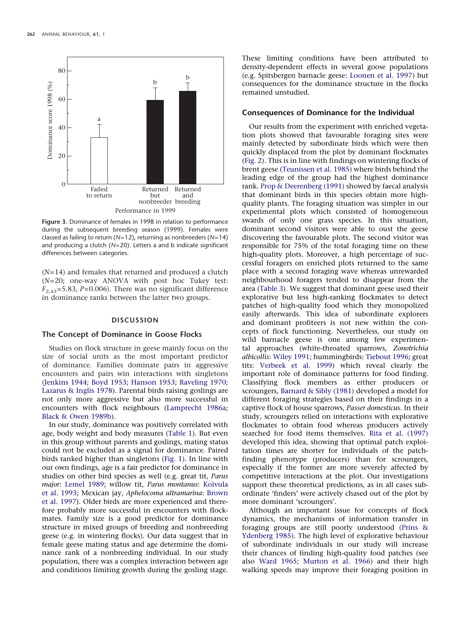<span id="page-5-0"></span>

**Figure 3.** Dominance of females in 1998 in relation to performance during the subsequent breeding season (1999). Females were classed as failing to return (*N*=12), returning as nonbreeders (*N*=14) and producing a clutch (*N*=20). Letters a and b indicate significant differences between categories.

(*N*=14) and females that returned and produced a clutch (*N*=20; one-way ANOVA with post hoc Tukey test:  $F_{2,43}$ =5.83, *P*=0.006). There was no significant difference in dominance ranks between the latter two groups.

#### **DISCUSSION**

# **The Concept of Dominance in Goose Flocks**

Studies on flock structure in geese mainly focus on the size of social units as the most important predictor of dominance. Families dominate pairs in aggressive encounters and pairs win interactions with singletons [\(Jenkins 1944;](#page-7-25) [Boyd 1953;](#page-6-0) [Hanson 1953;](#page-7-9) [Raveling 1970;](#page-7-2) [Lazarus & Inglis 1978\)](#page-7-5). Parental birds raising goslings are not only more aggressive but also more successful in encounters with flock neighbours [\(Lamprecht 1986a;](#page-7-7) [Black & Owen 1989b\)](#page-6-2).

In our study, dominance was positively correlated with age, body weight and body measures [\(Table 1\)](#page-3-1). But even in this group without parents and goslings, mating status could not be excluded as a signal for dominance. Paired birds ranked higher than singletons [\(Fig. 1\)](#page-3-0). In line with our own findings, age is a fair predictor for dominance in studies on other bird species as well (e.g. great tit, *Parus major*: [Lemel 1989;](#page-7-26) willow tit, *Parus montanus*: [Koivula](#page-7-27) [et al. 1993;](#page-7-27) Mexican jay, *Aphelocoma ultramarina*: [Brown](#page-6-5) [et al. 1997\)](#page-6-5). Older birds are more experienced and therefore probably more successful in encounters with flockmates. Family size is a good predictor for dominance structure in mixed groups of breeding and nonbreeding geese (e.g. in wintering flocks). Our data suggest that in female geese mating status and age determine the dominance rank of a nonbreeding individual. In our study population, there was a complex interaction between age and conditions limiting growth during the gosling stage. These limiting conditions have been attributed to density-dependent effects in several goose populations (e.g. Spitsbergen barnacle geese: [Loonen et al. 1997\)](#page-7-24) but consequences for the dominance structure in the flocks remained unstudied.

#### **Consequences of Dominance for the Individual**

Our results from the experiment with enriched vegetation plots showed that favourable foraging sites were mainly detected by subordinate birds which were then quickly displaced from the plot by dominant flockmates [\(Fig. 2\)](#page-4-0). This is in line with findings on wintering flocks of brent geese [\(Teunissen et al. 1985\)](#page-7-12) where birds behind the leading edge of the group had the highest dominance rank. [Prop & Deerenberg \(1991\)](#page-7-13) showed by faecal analysis that dominant birds in this species obtain more highquality plants. The foraging situation was simpler in our experimental plots which consisted of homogeneous swards of only one grass species. In this situation, dominant second visitors were able to oust the geese discovering the favourable plots. The second visitor was responsible for 75% of the total foraging time on these high-quality plots. Moreover, a high percentage of successful foragers on enriched plots returned to the same place with a second foraging wave whereas unrewarded neighbourhood foragers tended to disappear from the area [\(Table 3\)](#page-4-1). We suggest that dominant geese used their explorative but less high-ranking flockmates to detect patches of high-quality food which they monopolized easily afterwards. This idea of subordinate explorers and dominant profiteers is not new within the concepts of flock functioning. Nevertheless, our study on wild barnacle geese is one among few experimental approaches (white-throated sparrows, *Zonotrichia albicollis*: [Wiley 1991;](#page-7-28) hummingbirds: [Tiebout 1996;](#page-7-29) great tits: [Verbeek et al. 1999\)](#page-7-30) which reveal clearly the important role of dominance patterns for food finding. Classifying flock members as either producers or scroungers, [Barnard & Sibly \(1981\)](#page-6-6) developed a model for different foraging strategies based on their findings in a captive flock of house sparrows, *Passer domesticus*. In their study, scroungers relied on interactions with explorative flockmates to obtain food whereas producers actively searched for food items themselves. [Rita et al. \(1997\)](#page-7-31) developed this idea, showing that optimal patch exploitation times are shorter for individuals of the patchfinding phenotype (producers) than for scroungers, especially if the former are more severely affected by competitive interactions at the plot. Our investigations support these theoretical predictions, as in all cases subordinate 'finders' were actively chased out of the plot by more dominant 'scroungers'.

Although an important issue for concepts of flock dynamics, the mechanisms of information transfer in foraging groups are still poorly understood [\(Prins &](#page-7-32) [Ydenberg 1985\)](#page-7-32). The high level of explorative behaviour of subordinate individuals in our study will increase their chances of finding high-quality food patches (see also [Ward 1965;](#page-7-33) [Murton et al. 1966\)](#page-7-34) and their high walking speeds may improve their foraging position in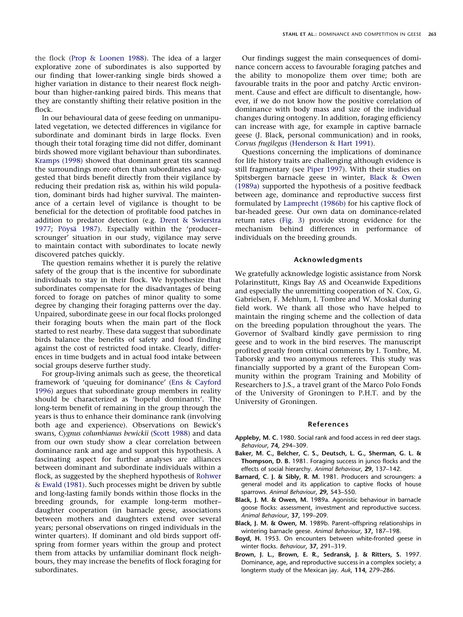<span id="page-6-4"></span>the flock [\(Prop & Loonen 1988\)](#page-7-18). The idea of a larger explorative zone of subordinates is also supported by our finding that lower-ranking single birds showed a higher variation in distance to their nearest flock neighbour than higher-ranking paired birds. This means that they are constantly shifting their relative position in the flock.

In our behavioural data of geese feeding on unmanipulated vegetation, we detected differences in vigilance for subordinate and dominant birds in large flocks. Even though their total foraging time did not differ, dominant birds showed more vigilant behaviour than subordinates. [Kramps \(1998\)](#page-7-35) showed that dominant great tits scanned the surroundings more often than subordinates and suggested that birds benefit directly from their vigilance by reducing their predation risk as, within his wild population, dominant birds had higher survival. The maintenance of a certain level of vigilance is thought to be beneficial for the detection of profitable food patches in addition to predator detection (e.g. [Drent & Swierstra](#page-7-36) [1977;](#page-7-36) Pöysä 1987). Especially within the 'producerscrounger' situation in our study, vigilance may serve to maintain contact with subordinates to locate newly discovered patches quickly.

The question remains whether it is purely the relative safety of the group that is the incentive for subordinate individuals to stay in their flock. We hypothesize that subordinates compensate for the disadvantages of being forced to forage on patches of minor quality to some degree by changing their foraging patterns over the day. Unpaired, subordinate geese in our focal flocks prolonged their foraging bouts when the main part of the flock started to rest nearby. These data suggest that subordinate birds balance the benefits of safety and food finding against the cost of restricted food intake. Clearly, differences in time budgets and in actual food intake between social groups deserve further study.

For group-living animals such as geese, the theoretical framework of 'queuing for dominance' [\(Ens & Cayford](#page-7-16) [1996\)](#page-7-16) argues that subordinate group members in reality should be characterized as 'hopeful dominants'. The long-term benefit of remaining in the group through the years is thus to enhance their dominance rank (involving both age and experience). Observations on Bewick's swans, *Cygnus columbianus bewickii* [\(Scott 1988\)](#page-7-38) and data from our own study show a clear correlation between dominance rank and age and support this hypothesis. A fascinating aspect for further analyses are alliances between dominant and subordinate individuals within a flock, as suggested by the shepherd hypothesis of [Rohwer](#page-7-15) [& Ewald \(1981\).](#page-7-15) Such processes might be driven by subtle and long-lasting family bonds within those flocks in the breeding grounds, for example long-term mother– daughter cooperation (in barnacle geese, associations between mothers and daughters extend over several years; personal observations on ringed individuals in the winter quarters). If dominant and old birds support offspring from former years within the group and protect them from attacks by unfamiliar dominant flock neighbours, they may increase the benefits of flock foraging for subordinates.

Our findings suggest the main consequences of dominance concern access to favourable foraging patches and the ability to monopolize them over time; both are favourable traits in the poor and patchy Arctic environment. Cause and effect are difficult to disentangle, however, if we do not know how the positive correlation of dominance with body mass and size of the individual changes during ontogeny. In addition, foraging efficiency can increase with age, for example in captive barnacle geese (J. Black, personal communication) and in rooks, *Corvus frugilegus* [\(Henderson & Hart 1991\)](#page-7-22).

Questions concerning the implications of dominance for life history traits are challenging although evidence is still fragmentary (see [Piper 1997\)](#page-7-1). With their studies on Spitsbergen barnacle geese in winter, [Black & Owen](#page-6-1) [\(1989a\)](#page-6-1) supported the hypothesis of a positive feedback between age, dominance and reproductive success first formulated by [Lamprecht \(1986b\)](#page-7-39) for his captive flock of bar-headed geese. Our own data on dominance-related return rates [\(Fig. 3\)](#page-5-0) provide strong evidence for the mechanism behind differences in performance of individuals on the breeding grounds.

# **Acknowledgments**

We gratefully acknowledge logistic assistance from Norsk Polarinstitutt, Kings Bay AS and Oceanwide Expeditions and especially the unremitting cooperation of N. Cox, G. Gabrielsen, F. Mehlum, I. Tombre and W. Moskal during field work. We thank all those who have helped to maintain the ringing scheme and the collection of data on the breeding population throughout the years. The Governor of Svalbard kindly gave permission to ring geese and to work in the bird reserves. The manuscript profited greatly from critical comments by I. Tombre, M. Taborsky and two anonymous referees. This study was financially supported by a grant of the European Community within the program Training and Mobility of Researchers to J.S., a travel grant of the Marco Polo Fonds of the University of Groningen to P.H.T. and by the University of Groningen.

# **References**

- **Appleby, M. C.** 1980. Social rank and food access in red deer stags. *Behaviour*, **74,** 294–309.
- <span id="page-6-3"></span>**Baker, M. C., Belcher, C. S., Deutsch, L. G., Sherman, G. L. & Thompson, D. B.** 1981. Foraging success in junco flocks and the effects of social hierarchy. *Animal Behaviour*, **29,** 137–142.
- <span id="page-6-6"></span>**Barnard, C. J. & Sibly, R. M.** 1981. Producers and scroungers: a general model and its application to captive flocks of house sparrows. *Animal Behaviour*, **29,** 543–550.
- <span id="page-6-1"></span>**Black, J. M. & Owen, M.** 1989a. Agonistic behaviour in barnacle goose flocks: assessment, investment and reproductive success. *Animal Behaviour*, **37,** 199–209.
- <span id="page-6-2"></span>**Black, J. M. & Owen, M.** 1989b. Parent–offspring relationships in wintering barnacle geese. *Animal Behaviour*, **37,** 187–198.
- <span id="page-6-0"></span>**Boyd, H.** 1953. On encounters between white-fronted geese in winter flocks. *Behaviour*, **37,** 291–319.
- <span id="page-6-5"></span>**Brown, J. L., Brown, E. R., Sedransk, J. & Ritters, S.** 1997. Dominance, age, and reproductive success in a complex society; a longterm study of the Mexican jay. *Auk*, **114,** 279–286.